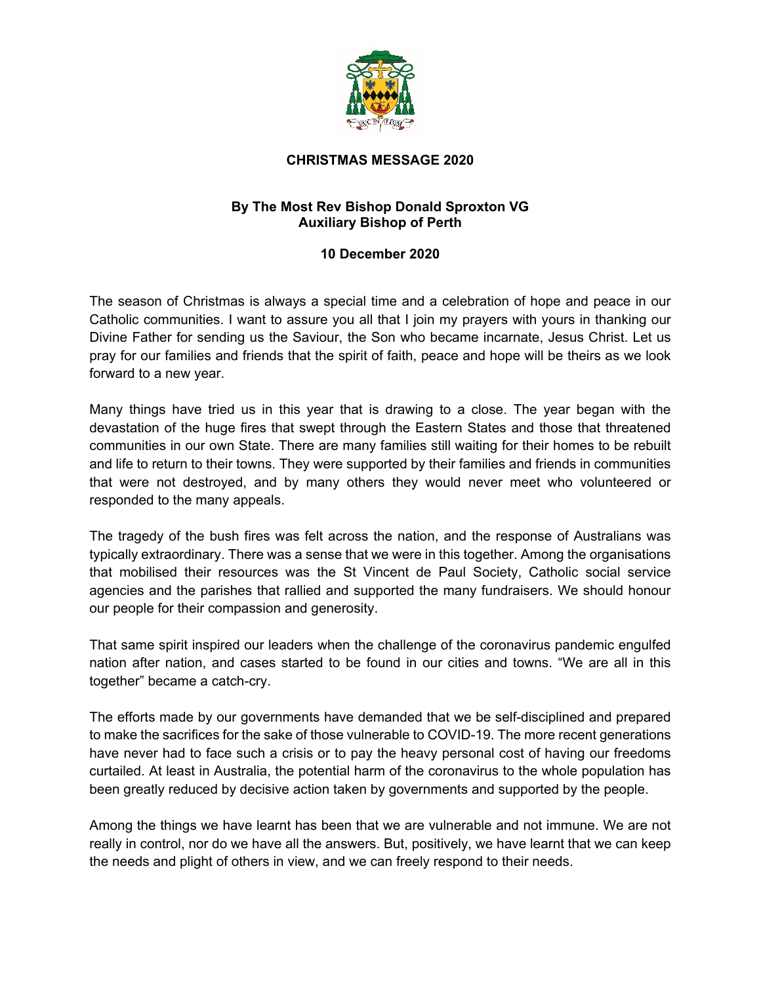

## **CHRISTMAS MESSAGE 2020**

## **By The Most Rev Bishop Donald Sproxton VG Auxiliary Bishop of Perth**

## **10 December 2020**

The season of Christmas is always a special time and a celebration of hope and peace in our Catholic communities. I want to assure you all that I join my prayers with yours in thanking our Divine Father for sending us the Saviour, the Son who became incarnate, Jesus Christ. Let us pray for our families and friends that the spirit of faith, peace and hope will be theirs as we look forward to a new year.

Many things have tried us in this year that is drawing to a close. The year began with the devastation of the huge fires that swept through the Eastern States and those that threatened communities in our own State. There are many families still waiting for their homes to be rebuilt and life to return to their towns. They were supported by their families and friends in communities that were not destroyed, and by many others they would never meet who volunteered or responded to the many appeals.

The tragedy of the bush fires was felt across the nation, and the response of Australians was typically extraordinary. There was a sense that we were in this together. Among the organisations that mobilised their resources was the St Vincent de Paul Society, Catholic social service agencies and the parishes that rallied and supported the many fundraisers. We should honour our people for their compassion and generosity.

That same spirit inspired our leaders when the challenge of the coronavirus pandemic engulfed nation after nation, and cases started to be found in our cities and towns. "We are all in this together" became a catch-cry.

The efforts made by our governments have demanded that we be self-disciplined and prepared to make the sacrifices for the sake of those vulnerable to COVID-19. The more recent generations have never had to face such a crisis or to pay the heavy personal cost of having our freedoms curtailed. At least in Australia, the potential harm of the coronavirus to the whole population has been greatly reduced by decisive action taken by governments and supported by the people.

Among the things we have learnt has been that we are vulnerable and not immune. We are not really in control, nor do we have all the answers. But, positively, we have learnt that we can keep the needs and plight of others in view, and we can freely respond to their needs.